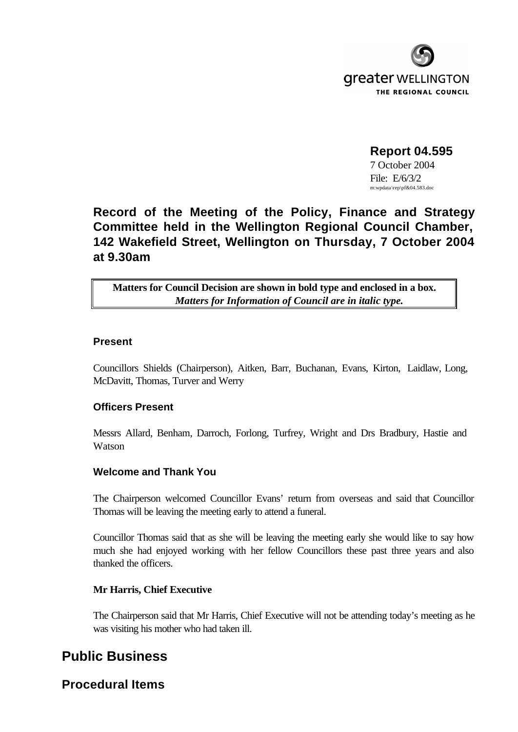

**Report 04.595** 7 October 2004 File: E/6/3/2 m:wpdata \rep\pf&04.583.doc

# **Record of the Meeting of the Policy, Finance and Strategy Committee held in the Wellington Regional Council Chamber, 142 Wakefield Street, Wellington on Thursday, 7 October 2004 at 9.30am**

**Matters for Council Decision are shown in bold type and enclosed in a box.** *Matters for Information of Council are in italic type.*

## **Present**

Councillors Shields (Chairperson), Aitken, Barr, Buchanan, Evans, Kirton, Laidlaw, Long, McDavitt, Thomas, Turver and Werry

# **Officers Present**

Messrs Allard, Benham, Darroch, Forlong, Turfrey, Wright and Drs Bradbury, Hastie and Watson

# **Welcome and Thank You**

The Chairperson welcomed Councillor Evans' return from overseas and said that Councillor Thomas will be leaving the meeting early to attend a funeral.

Councillor Thomas said that as she will be leaving the meeting early she would like to say how much she had enjoyed working with her fellow Councillors these past three years and also thanked the officers.

## **Mr Harris, Chief Executive**

The Chairperson said that Mr Harris, Chief Executive will not be attending today's meeting as he was visiting his mother who had taken ill.

# **Public Business**

**Procedural Items**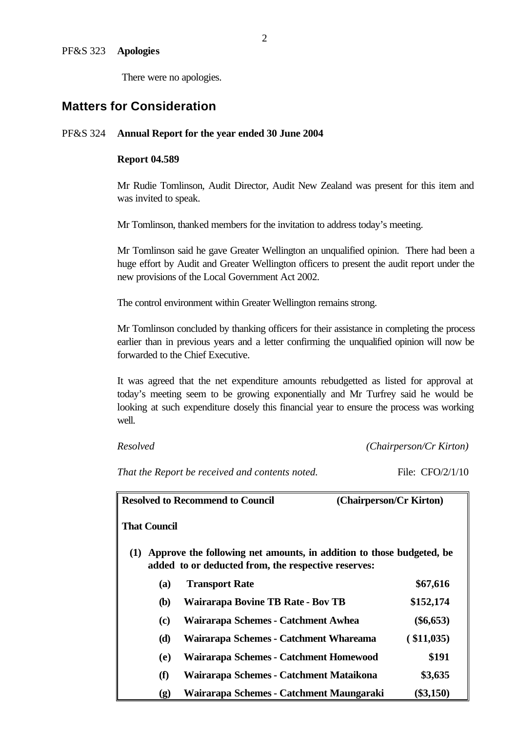There were no apologies.

# **Matters for Consideration**

### PF&S 324 **Annual Report for the year ended 30 June 2004**

### **Report 04.589**

Mr Rudie Tomlinson, Audit Director, Audit New Zealand was present for this item and was invited to speak.

Mr Tomlinson, thanked members for the invitation to address today's meeting.

Mr Tomlinson said he gave Greater Wellington an unqualified opinion. There had been a huge effort by Audit and Greater Wellington officers to present the audit report under the new provisions of the Local Government Act 2002.

The control environment within Greater Wellington remains strong.

Mr Tomlinson concluded by thanking officers for their assistance in completing the process earlier than in previous years and a letter confirming the unqualified opinion will now be forwarded to the Chief Executive.

It was agreed that the net expenditure amounts rebudgetted as listed for approval at today's meeting seem to be growing exponentially and Mr Turfrey said he would be looking at such expenditure dosely this financial year to ensure the process was working well.

*Resolved (Chairperson/Cr Kirton)*

*That the Report be received and contents noted.* File: CFO/2/1/10

| <b>Resolved to Recommend to Council</b> |                     |                                                                                                                             | (Chairperson/Cr Kirton) |
|-----------------------------------------|---------------------|-----------------------------------------------------------------------------------------------------------------------------|-------------------------|
|                                         | <b>That Council</b> |                                                                                                                             |                         |
| (1)                                     |                     | Approve the following net amounts, in addition to those budgeted, be<br>added to or deducted from, the respective reserves: |                         |
|                                         | (a)                 | <b>Transport Rate</b>                                                                                                       | \$67,616                |
|                                         | <b>(b)</b>          | <b>Wairarapa Bovine TB Rate - Bov TB</b>                                                                                    | \$152,174               |
|                                         | (c)                 | Wairarapa Schemes - Catchment Awhea                                                                                         | $(\$6,653)$             |
|                                         | (d)                 | Wairarapa Schemes - Catchment Whareama                                                                                      | ( \$11,035)             |
|                                         | (e)                 | Wairarapa Schemes - Catchment Homewood                                                                                      | \$191                   |
|                                         | (f)                 | Wairarapa Schemes - Catchment Mataikona                                                                                     | \$3,635                 |
|                                         | (g)                 | Wairarapa Schemes - Catchment Maungaraki                                                                                    | $(\$3,150)$             |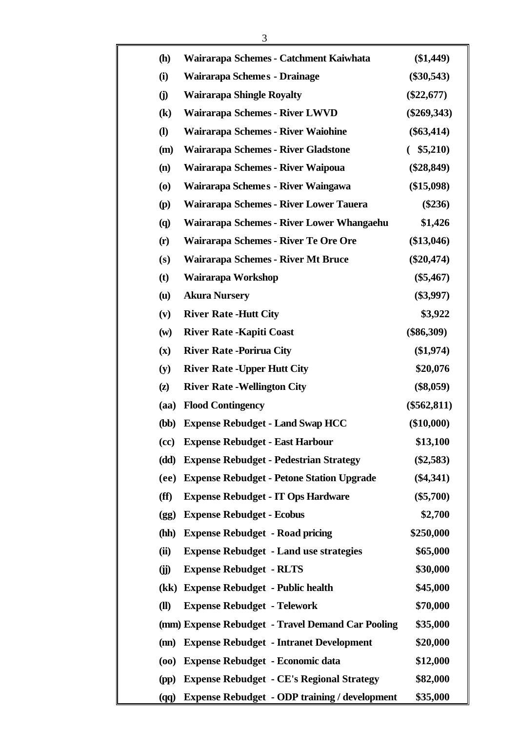| <b>(h)</b>                               | Wairarapa Schemes - Catchment Kaiwhata               | $(\$1,449)$   |
|------------------------------------------|------------------------------------------------------|---------------|
| (i)                                      | Wairarapa Schemes - Drainage                         | $(\$30,543)$  |
| (i)                                      | <b>Wairarapa Shingle Royalty</b>                     | $(\$22,677)$  |
| $\left( \mathbf{k}\right)$               | Wairarapa Schemes - River LWVD                       | $(\$269,343)$ |
| $\mathbf{I}$                             | Wairarapa Schemes - River Waiohine                   | $(\$63,414)$  |
| (m)                                      | Wairarapa Schemes - River Gladstone                  | $($ \$5,210)  |
| (n)                                      | Wairarapa Schemes - River Waipoua                    | $(\$28,849)$  |
| $\boldsymbol{\left( \mathbf{0}\right) }$ | Wairarapa Schemes - River Waingawa                   | (\$15,098)    |
| (p)                                      | Wairarapa Schemes - River Lower Tauera               | $(\$236)$     |
| $\left( \mathbf{q} \right)$              | Wairarapa Schemes - River Lower Whangaehu            | \$1,426       |
| (r)                                      | Wairarapa Schemes - River Te Ore Ore                 | $(\$13,046)$  |
| (s)                                      | Wairarapa Schemes - River Mt Bruce                   | $(\$20,474)$  |
| (t)                                      | Wairarapa Workshop                                   | $(\$5,467)$   |
| $(\mathbf{u})$                           | <b>Akura Nursery</b>                                 | $(\$3,997)$   |
| (v)                                      | <b>River Rate -Hutt City</b>                         | \$3,922       |
| $(\mathbf{w})$                           | <b>River Rate - Kapiti Coast</b>                     | $(\$86,309)$  |
| $(\mathbf{x})$                           | <b>River Rate -Porirua City</b>                      | (\$1,974)     |
| (y)                                      | <b>River Rate - Upper Hutt City</b>                  | \$20,076      |
| $\left( \mathbf{z}\right)$               | <b>River Rate - Wellington City</b>                  | $(\$8,059)$   |
| (aa)                                     | <b>Flood Contingency</b>                             | $(\$562,811)$ |
| <b>(bb)</b>                              | <b>Expense Rebudget - Land Swap HCC</b>              | $(\$10,000)$  |
| (cc)                                     | <b>Expense Rebudget - East Harbour</b>               | \$13,100      |
| (dd)                                     | <b>Expense Rebudget - Pedestrian Strategy</b>        | $(\$2,583)$   |
| (ee)                                     | <b>Expense Rebudget - Petone Station Upgrade</b>     | $(\$4,341)$   |
| (ff)                                     | <b>Expense Rebudget - IT Ops Hardware</b>            | $(\$5,700)$   |
| (gg)                                     | <b>Expense Rebudget - Ecobus</b>                     | \$2,700       |
| (hh)                                     | <b>Expense Rebudget - Road pricing</b>               | \$250,000     |
| (ii)                                     | <b>Expense Rebudget - Land use strategies</b>        | \$65,000      |
| (i)                                      | <b>Expense Rebudget - RLTS</b>                       | \$30,000      |
|                                          | (kk) Expense Rebudget - Public health                | \$45,000      |
| (II)                                     | <b>Expense Rebudget - Telework</b>                   | \$70,000      |
|                                          | (mm) Expense Rebudget - Travel Demand Car Pooling    | \$35,000      |
| (m)                                      | <b>Expense Rebudget - Intranet Development</b>       | \$20,000      |
| (00)                                     | <b>Expense Rebudget - Economic data</b>              | \$12,000      |
| (pp)                                     | <b>Expense Rebudget - CE's Regional Strategy</b>     | \$82,000      |
| (qq)                                     | <b>Expense Rebudget - ODP training / development</b> | \$35,000      |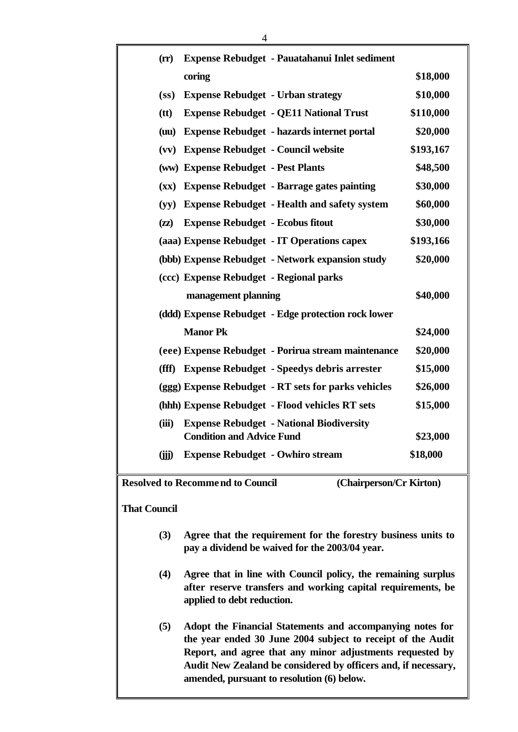| $(r\mathbf{r})$                                                    | Expense Rebudget - Pauatahanui Inlet sediment                                       |           |  |  |
|--------------------------------------------------------------------|-------------------------------------------------------------------------------------|-----------|--|--|
|                                                                    | coring                                                                              | \$18,000  |  |  |
| (s <sub>s</sub> )                                                  | <b>Expense Rebudget - Urban strategy</b>                                            | \$10,000  |  |  |
| (tt)                                                               | <b>Expense Rebudget - QE11 National Trust</b>                                       | \$110,000 |  |  |
| (uu)                                                               | <b>Expense Rebudget - hazards internet portal</b>                                   | \$20,000  |  |  |
|                                                                    | (vv) Expense Rebudget - Council website                                             | \$193,167 |  |  |
|                                                                    | (ww) Expense Rebudget - Pest Plants                                                 | \$48,500  |  |  |
|                                                                    | (xx) Expense Rebudget - Barrage gates painting                                      | \$30,000  |  |  |
| (yy)                                                               | <b>Expense Rebudget - Health and safety system</b>                                  | \$60,000  |  |  |
| $(\mathbf{z}\mathbf{z})$                                           | <b>Expense Rebudget - Ecobus fitout</b>                                             | \$30,000  |  |  |
|                                                                    | (aaa) Expense Rebudget - IT Operations capex                                        | \$193,166 |  |  |
|                                                                    | (bbb) Expense Rebudget - Network expansion study                                    | \$20,000  |  |  |
|                                                                    | (ccc) Expense Rebudget - Regional parks                                             |           |  |  |
|                                                                    | management planning                                                                 | \$40,000  |  |  |
|                                                                    | (ddd) Expense Rebudget - Edge protection rock lower                                 |           |  |  |
|                                                                    | <b>Manor Pk</b>                                                                     | \$24,000  |  |  |
|                                                                    | (eee) Expense Rebudget - Porirua stream maintenance                                 | \$20,000  |  |  |
|                                                                    | (fff) Expense Rebudget - Speedys debris arrester                                    | \$15,000  |  |  |
|                                                                    | (ggg) Expense Rebudget - RT sets for parks vehicles                                 | \$26,000  |  |  |
|                                                                    | (hhh) Expense Rebudget - Flood vehicles RT sets                                     | \$15,000  |  |  |
| (iii)                                                              | <b>Expense Rebudget - National Biodiversity</b><br><b>Condition and Advice Fund</b> | \$23,000  |  |  |
| (iii)                                                              | <b>Expense Rebudget - Owhiro stream</b>                                             | \$18,000  |  |  |
| <b>Resolved to Recommend to Council</b><br>(Chairperson/Cr Kirton) |                                                                                     |           |  |  |

**That Council**

- **(3) Agree that the requirement for the forestry business units to pay a dividend be waived for the 2003/04 year.**
- **(4) Agree that in line with Council policy, the remaining surplus after reserve transfers and working capital requirements, be applied to debt reduction.**
- **(5) Adopt the Financial Statements and accompanying notes for the year ended 30 June 2004 subject to receipt of the Audit Report, and agree that any minor adjustments requested by Audit New Zealand be considered by officers and, if necessary, amended, pursuant to resolution (6) below.**

4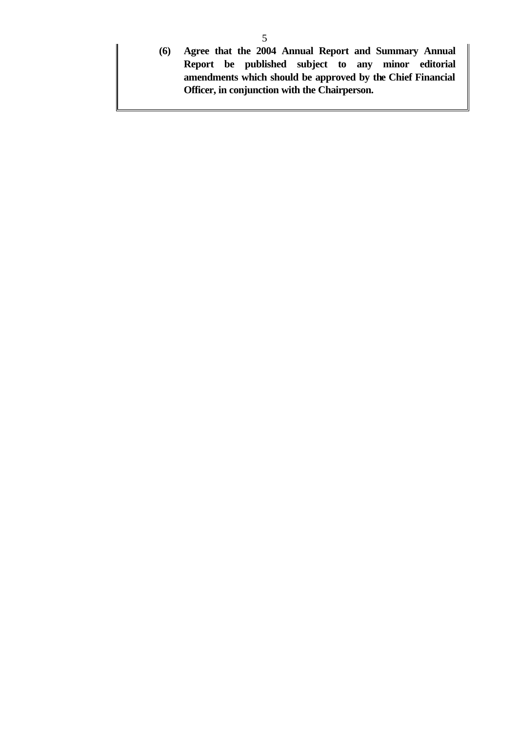**(6) Agree that the 2004 Annual Report and Summary Annual Report be published subject to any minor editorial amendments which should be approved by the Chief Financial Officer, in conjunction with the Chairperson.**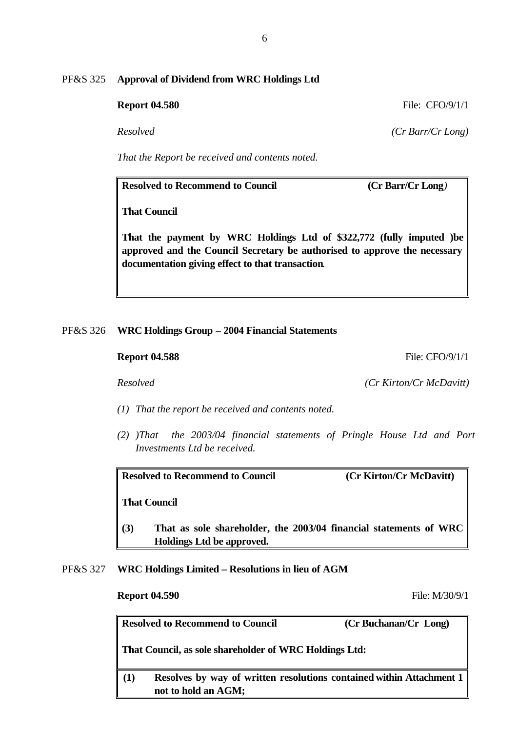## PF&S 325 **Approval of Dividend from WRC Holdings Ltd**

**Report 04.580** File: CFO/9/1/1

*Resolved (Cr Barr/Cr Long)*

*That the Report be received and contents noted.*

**Resolved to Recommend to Council (Cr Barr/Cr Long***)*

**That Council**

**That the payment by WRC Holdings Ltd of \$322,772 (fully imputed )be approved and the Council Secretary be authorised to approve the necessary documentation giving effect to that transaction***.*

### PF&S 326 **WRC Holdings Group – 2004 Financial Statements**

- *(1) That the report be received and contents noted.*
- *(2) )That the 2003/04 financial statements of Pringle House Ltd and Port Investments Ltd be received.*

**Resolved to Recommend to Council (Cr Kirton/Cr McDavitt)**

**That Council**

- **(3) That as sole shareholder, the 2003/04 financial statements of WRC Holdings Ltd be approved.**
- PF&S 327 **WRC Holdings Limited Resolutions in lieu of AGM**

**Resolved to Recommend to Council****(Cr Buchanan/Cr Long) That Council, as sole shareholder of WRC Holdings Ltd: (1) Resolves by way of written resolutions contained within Attachment 1 not to hold an AGM;**

**Report 04.588** File: CFO/9/1/1

*Resolved (Cr Kirton/Cr McDavitt)*

**Report 04.590** File: M/30/9/1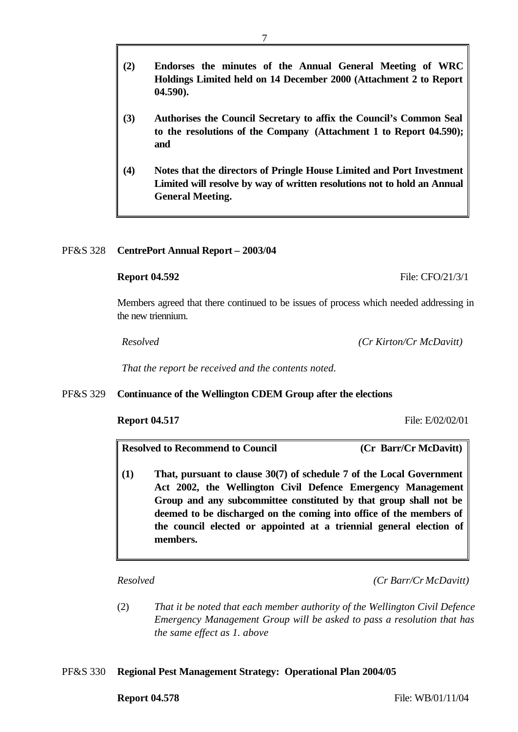- **(2) Endorses the minutes of the Annual General Meeting of WRC Holdings Limited held on 14 December 2000 (Attachment 2 to Report 04.590).**
- **(3) Authorises the Council Secretary to affix the Council's Common Seal to the resolutions of the Company (Attachment 1 to Report 04.590); and**
- **(4) Notes that the directors of Pringle House Limited and Port Investment Limited will resolve by way of written resolutions not to hold an Annual General Meeting.**

# PF&S 328 **CentrePort Annual Report – 2003/04**

# **Report 04.592** File: CFO/21/3/1

Members agreed that there continued to be issues of process which needed addressing in the new triennium.

*Resolved (Cr Kirton/Cr McDavitt)*

*That the report be received and the contents noted.*

# PF&S 329 **Continuance of the Wellington CDEM Group after the elections**

## **Report 04.517** File: E/02/02/01

**Resolved to Recommend to Council (Cr Barr/Cr McDavitt)**

**(1) That, pursuant to clause 30(7) of schedule 7 of the Local Government Act 2002, the Wellington Civil Defence Emergency Management Group and any subcommittee constituted by that group shall not be deemed to be discharged on the coming into office of the members of the council elected or appointed at a triennial general election of members.**

*Resolved (Cr Barr/Cr McDavitt)*

(2) *That it be noted that each member authority of the Wellington Civil Defence Emergency Management Group will be asked to pass a resolution that has the same effect as 1. above*

# PF&S 330 **Regional Pest Management Strategy: Operational Plan 2004/05**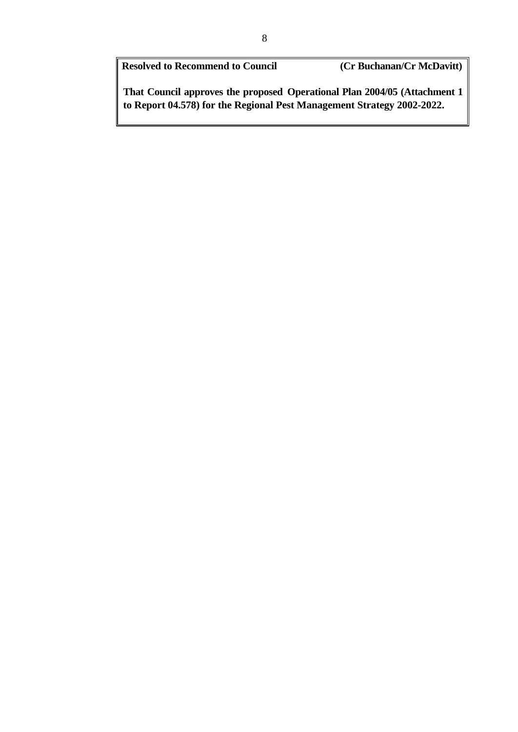**Resolved to Recommend to Council (Cr Buchanan/Cr McDavitt)**

**That Council approves the proposed Operational Plan 2004/05 (Attachment 1 to Report 04.578) for the Regional Pest Management Strategy 2002-2022.**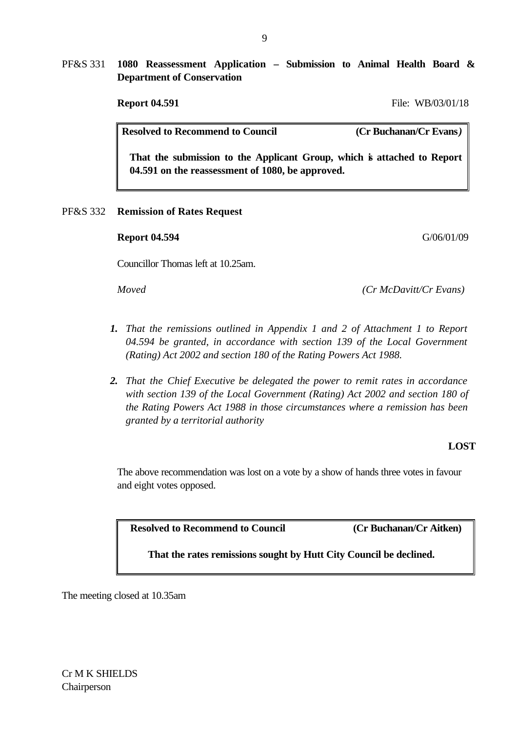PF&S 331 **1080 Reassessment Application – Submission to Animal Health Board & Department of Conservation**

**Report 04.591** File: WB/03/01/18

**Resolved to Recommend to Council (Cr Buchanan/Cr Evans***)*

**That the submission to the Applicant Group, which is attached to Report 04.591 on the reassessment of 1080, be approved.**

PF&S 332 **Remission of Rates Request**

## **Report 04.594** G/06/01/09

Councillor Thomas left at 10.25am.

*Moved (Cr McDavitt/Cr Evans)*

- *1. That the remissions outlined in Appendix 1 and 2 of Attachment 1 to Report 04.594 be granted, in accordance with section 139 of the Local Government (Rating) Act 2002 and section 180 of the Rating Powers Act 1988.*
- *2. That the Chief Executive be delegated the power to remit rates in accordance*  with section 139 of the Local Government (Rating) Act 2002 and section 180 of *the Rating Powers Act 1988 in those circumstances where a remission has been granted by a territorial authority*

## **LOST**

The above recommendation was lost on a vote by a show of hands three votes in favour and eight votes opposed.

**Resolved to Recommend to Council (Cr Buchanan/Cr Aitken)**

**That the rates remissions sought by Hutt City Council be declined.** 

The meeting closed at 10.35am